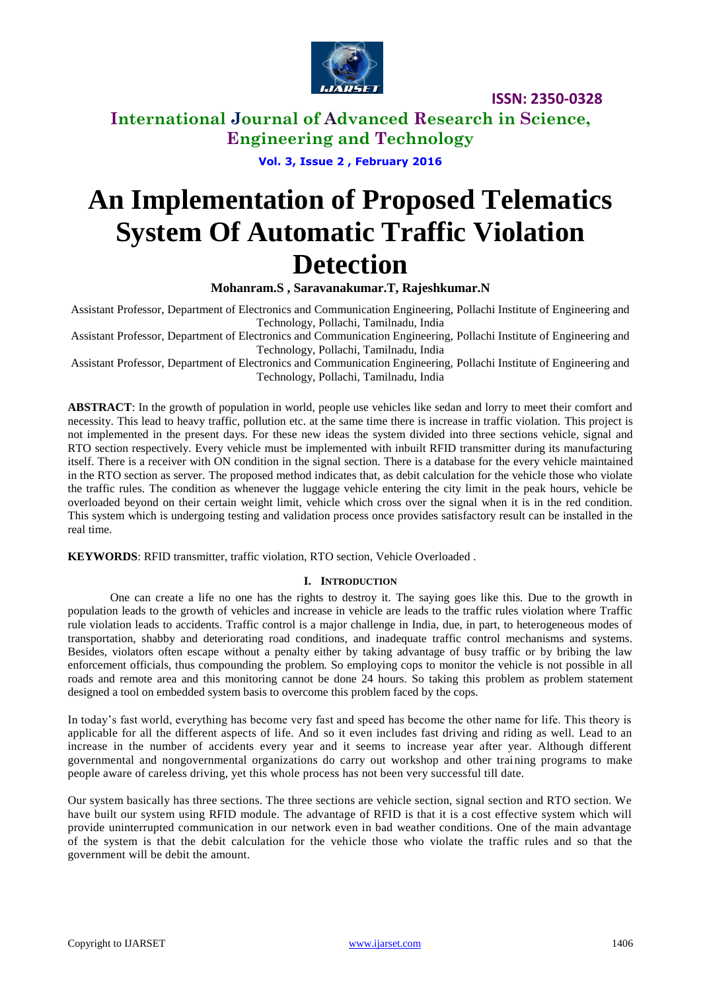

**International Journal of Advanced Research in Science, Engineering and Technology**

**Vol. 3, Issue 2 , February 2016**

# **An Implementation of Proposed Telematics System Of Automatic Traffic Violation Detection**

**Mohanram.S , Saravanakumar.T, Rajeshkumar.N** 

Assistant Professor, Department of Electronics and Communication Engineering, Pollachi Institute of Engineering and Technology, Pollachi, Tamilnadu, India

Assistant Professor, Department of Electronics and Communication Engineering, Pollachi Institute of Engineering and Technology, Pollachi, Tamilnadu, India

Assistant Professor, Department of Electronics and Communication Engineering, Pollachi Institute of Engineering and Technology, Pollachi, Tamilnadu, India

**ABSTRACT**: In the growth of population in world, people use vehicles like sedan and lorry to meet their comfort and necessity. This lead to heavy traffic, pollution etc. at the same time there is increase in traffic violation. This project is not implemented in the present days. For these new ideas the system divided into three sections vehicle, signal and RTO section respectively. Every vehicle must be implemented with inbuilt RFID transmitter during its manufacturing itself. There is a receiver with ON condition in the signal section. There is a database for the every vehicle maintained in the RTO section as server. The proposed method indicates that, as debit calculation for the vehicle those who violate the traffic rules. The condition as whenever the luggage vehicle entering the city limit in the peak hours, vehicle be overloaded beyond on their certain weight limit, vehicle which cross over the signal when it is in the red condition. This system which is undergoing testing and validation process once provides satisfactory result can be installed in the real time.

**KEYWORDS**: RFID transmitter, traffic violation, RTO section, Vehicle Overloaded .

# **I. INTRODUCTION**

One can create a life no one has the rights to destroy it. The saying goes like this. Due to the growth in population leads to the growth of vehicles and increase in vehicle are leads to the traffic rules violation where Traffic rule violation leads to accidents. Traffic control is a major challenge in India, due, in part, to heterogeneous modes of transportation, shabby and deteriorating road conditions, and inadequate traffic control mechanisms and systems. Besides, violators often escape without a penalty either by taking advantage of busy traffic or by bribing the law enforcement officials, thus compounding the problem*.* So employing cops to monitor the vehicle is not possible in all roads and remote area and this monitoring cannot be done 24 hours. So taking this problem as problem statement designed a tool on embedded system basis to overcome this problem faced by the cops.

In today's fast world, everything has become very fast and speed has become the other name for life. This theory is applicable for all the different aspects of life. And so it even includes fast driving and riding as well. Lead to an increase in the number of accidents every year and it seems to increase year after year. Although different governmental and nongovernmental organizations do carry out workshop and other training programs to make people aware of careless driving, yet this whole process has not been very successful till date.

Our system basically has three sections. The three sections are vehicle section, signal section and RTO section. We have built our system using RFID module. The advantage of RFID is that it is a cost effective system which will provide uninterrupted communication in our network even in bad weather conditions. One of the main advantage of the system is that the debit calculation for the vehicle those who violate the traffic rules and so that the government will be debit the amount.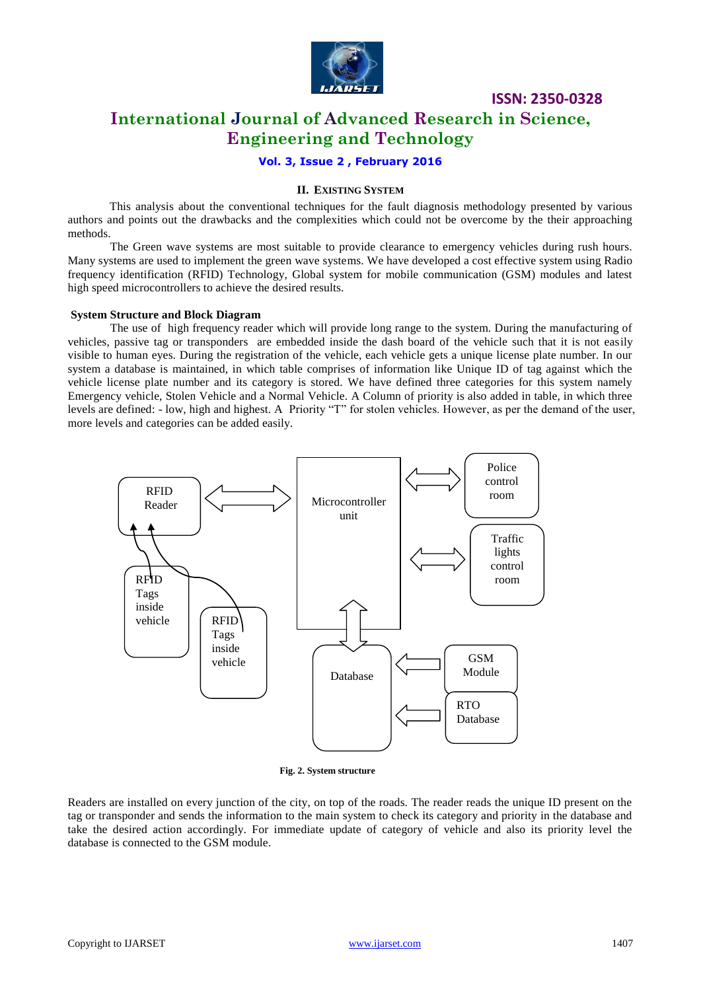

# **ISSN: 2350-0328 International Journal of Advanced Research in Science,**

**Engineering and Technology**

# **Vol. 3, Issue 2 , February 2016**

# **II. EXISTING SYSTEM**

 This analysis about the conventional techniques for the fault diagnosis methodology presented by various authors and points out the drawbacks and the complexities which could not be overcome by the their approaching methods.

The Green wave systems are most suitable to provide clearance to emergency vehicles during rush hours. Many systems are used to implement the green wave systems. We have developed a cost effective system using Radio frequency identification (RFID) Technology, Global system for mobile communication (GSM) modules and latest high speed microcontrollers to achieve the desired results.

### **System Structure and Block Diagram**

The use of high frequency reader which will provide long range to the system. During the manufacturing of vehicles, passive tag or transponders are embedded inside the dash board of the vehicle such that it is not easily visible to human eyes. During the registration of the vehicle, each vehicle gets a unique license plate number. In our system a database is maintained, in which table comprises of information like Unique ID of tag against which the vehicle license plate number and its category is stored. We have defined three categories for this system namely Emergency vehicle, Stolen Vehicle and a Normal Vehicle. A Column of priority is also added in table, in which three levels are defined: - low, high and highest. A Priority "T" for stolen vehicles. However, as per the demand of the user, more levels and categories can be added easily.



**Fig. 2. System structure**

Readers are installed on every junction of the city, on top of the roads. The reader reads the unique ID present on the tag or transponder and sends the information to the main system to check its category and priority in the database and take the desired action accordingly. For immediate update of category of vehicle and also its priority level the database is connected to the GSM module.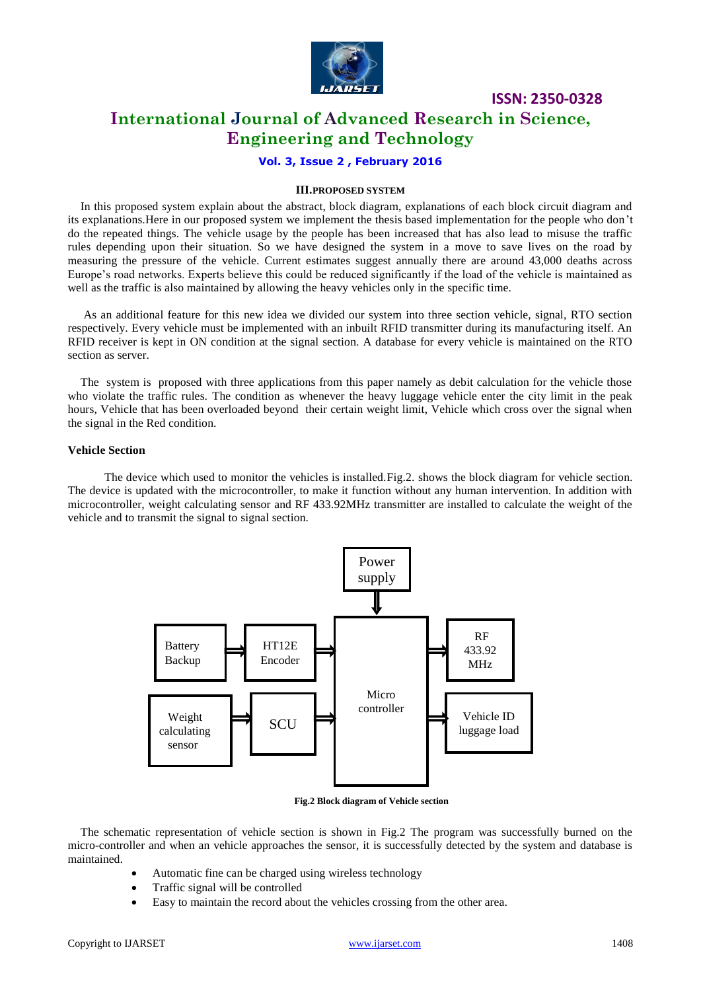

**ISSN: 2350-0328 International Journal of Advanced Research in Science, Engineering and Technology**

# **Vol. 3, Issue 2 , February 2016**

### **III.PROPOSED SYSTEM**

In this proposed system explain about the abstract, block diagram, explanations of each block circuit diagram and its explanations.Here in our proposed system we implement the thesis based implementation for the people who don't do the repeated things. The vehicle usage by the people has been increased that has also lead to misuse the traffic rules depending upon their situation. So we have designed the system in a move to save lives on the road by measuring the pressure of the vehicle. Current estimates suggest annually there are around 43,000 deaths across Europe's road networks. Experts believe this could be reduced significantly if the load of the vehicle is maintained as well as the traffic is also maintained by allowing the heavy vehicles only in the specific time.

As an additional feature for this new idea we divided our system into three section vehicle, signal, RTO section respectively. Every vehicle must be implemented with an inbuilt RFID transmitter during its manufacturing itself. An RFID receiver is kept in ON condition at the signal section. A database for every vehicle is maintained on the RTO section as server.

The system is proposed with three applications from this paper namely as debit calculation for the vehicle those who violate the traffic rules. The condition as whenever the heavy luggage vehicle enter the city limit in the peak hours, Vehicle that has been overloaded beyond their certain weight limit, Vehicle which cross over the signal when the signal in the Red condition.

#### **Vehicle Section**

The device which used to monitor the vehicles is installed. Fig. 2. shows the block diagram for vehicle section. The device is updated with the microcontroller, to make it function without any human intervention. In addition with microcontroller, weight calculating sensor and RF 433.92MHz transmitter are installed to calculate the weight of the vehicle and to transmit the signal to signal section.



**Fig.2 Block diagram of Vehicle section**

The schematic representation of vehicle section is shown in Fig.2 The program was successfully burned on the micro-controller and when an vehicle approaches the sensor, it is successfully detected by the system and database is maintained.

- Automatic fine can be charged using wireless technology
- Traffic signal will be controlled
- Easy to maintain the record about the vehicles crossing from the other area.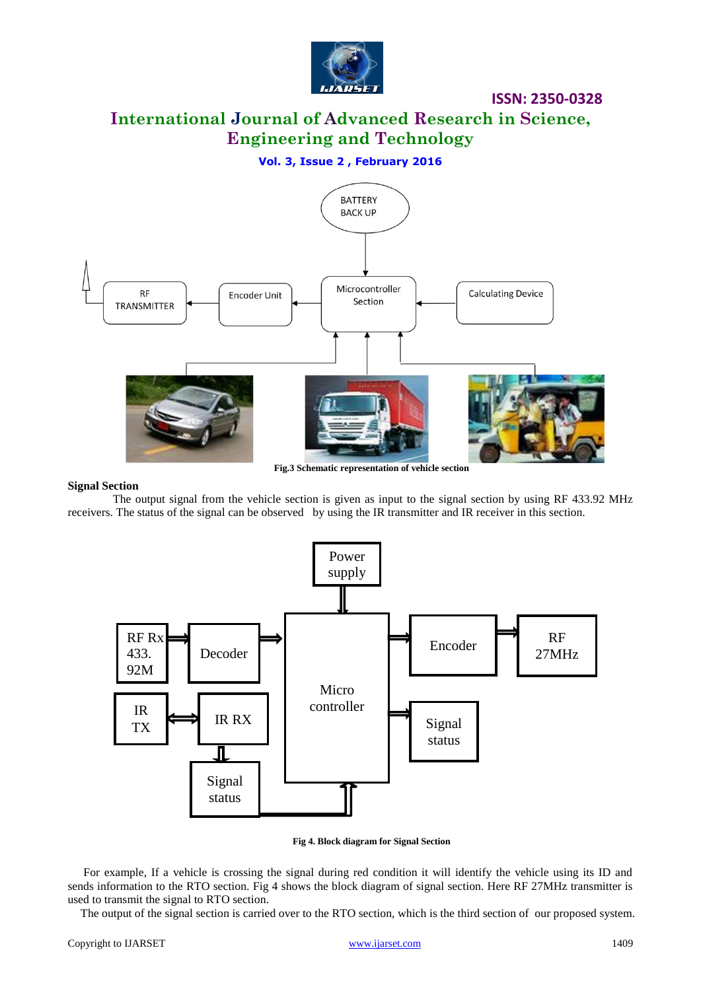

**International Journal of Advanced Research in Science, Engineering and Technology**

**Vol. 3, Issue 2 , February 2016**



# **Signal Section**

 The output signal from the vehicle section is given as input to the signal section by using RF 433.92 MHz receivers. The status of the signal can be observed by using the IR transmitter and IR receiver in this section.



**Fig 4. Block diagram for Signal Section**

For example, If a vehicle is crossing the signal during red condition it will identify the vehicle using its ID and sends information to the RTO section. Fig 4 shows the block diagram of signal section. Here RF 27MHz transmitter is used to transmit the signal to RTO section.

The output of the signal section is carried over to the RTO section, which is the third section of our proposed system.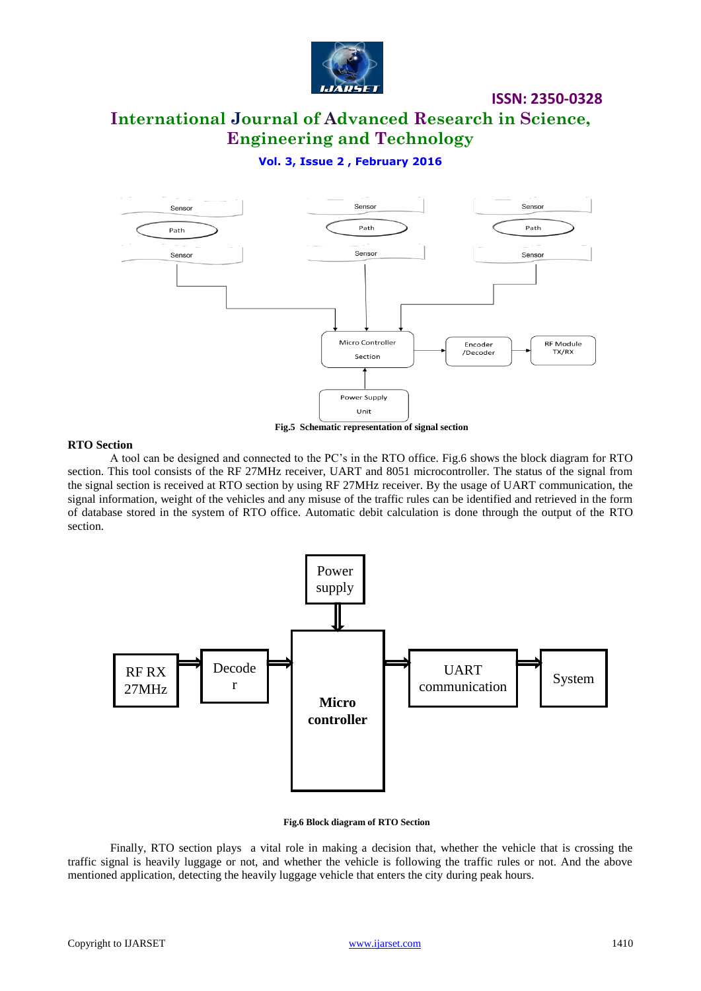

# **International Journal of Advanced Research in Science, Engineering and Technology**

# **Vol. 3, Issue 2 , February 2016**



**Fig.5 Schematic representation of signal section**

### **RTO Section**

 A tool can be designed and connected to the PC's in the RTO office. Fig.6 shows the block diagram for RTO section. This tool consists of the RF 27MHz receiver, UART and 8051 microcontroller. The status of the signal from the signal section is received at RTO section by using RF 27MHz receiver. By the usage of UART communication, the signal information, weight of the vehicles and any misuse of the traffic rules can be identified and retrieved in the form of database stored in the system of RTO office. Automatic debit calculation is done through the output of the RTO section.



**Fig.6 Block diagram of RTO Section**

Finally, RTO section plays a vital role in making a decision that, whether the vehicle that is crossing the traffic signal is heavily luggage or not, and whether the vehicle is following the traffic rules or not. And the above mentioned application, detecting the heavily luggage vehicle that enters the city during peak hours.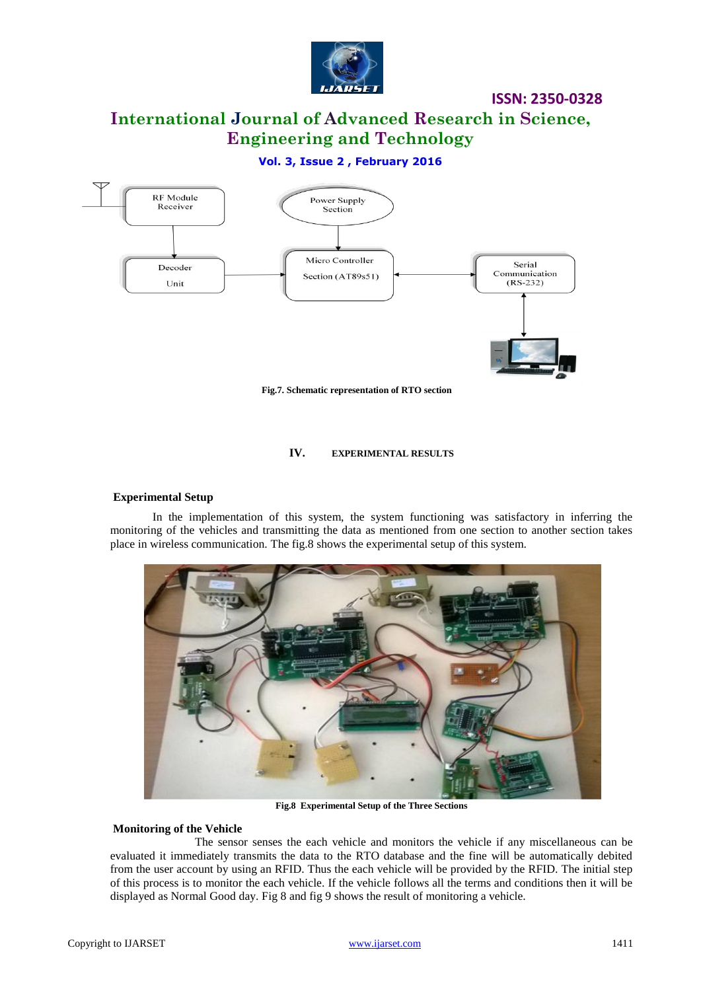

**International Journal of Advanced Research in Science, Engineering and Technology**

# **Vol. 3, Issue 2 , February 2016**



**Fig.7. Schematic representation of RTO section**

### **IV. EXPERIMENTAL RESULTS**

# **Experimental Setup**

In the implementation of this system, the system functioning was satisfactory in inferring the monitoring of the vehicles and transmitting the data as mentioned from one section to another section takes place in wireless communication. The fig.8 shows the experimental setup of this system.



**Fig.8 Experimental Setup of the Three Sections**

# **Monitoring of the Vehicle**

The sensor senses the each vehicle and monitors the vehicle if any miscellaneous can be evaluated it immediately transmits the data to the RTO database and the fine will be automatically debited from the user account by using an RFID. Thus the each vehicle will be provided by the RFID. The initial step of this process is to monitor the each vehicle. If the vehicle follows all the terms and conditions then it will be displayed as Normal Good day. Fig 8 and fig 9 shows the result of monitoring a vehicle.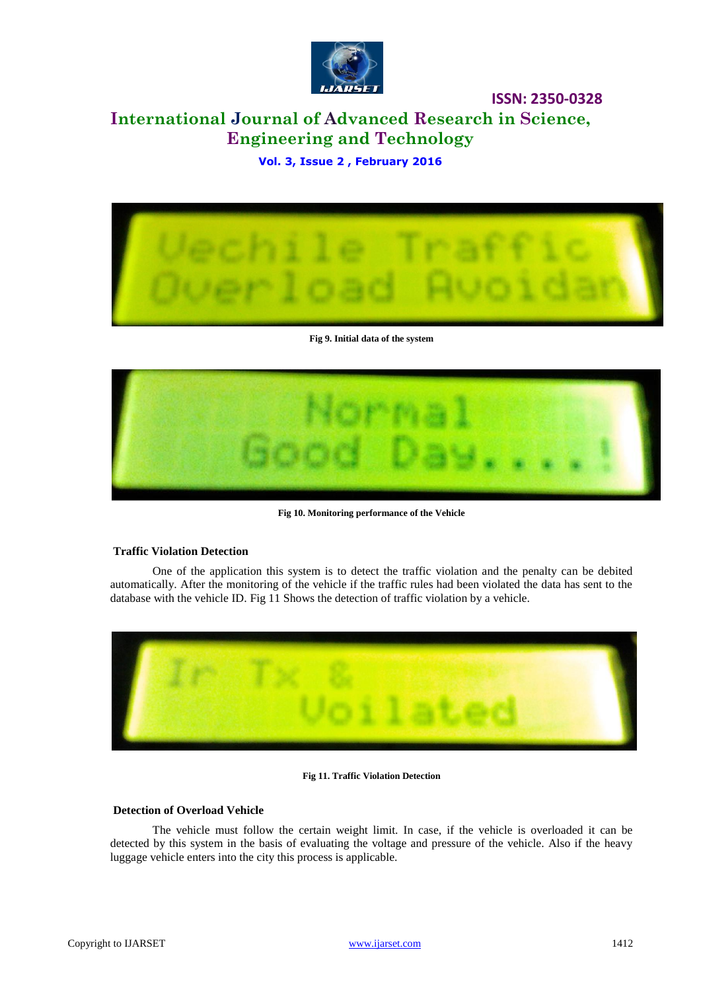

# **International Journal of Advanced Research in Science, Engineering and Technology**

**Vol. 3, Issue 2 , February 2016**



**Fig 9. Initial data of the system**



**Fig 10. Monitoring performance of the Vehicle** 

# **Traffic Violation Detection**

One of the application this system is to detect the traffic violation and the penalty can be debited automatically. After the monitoring of the vehicle if the traffic rules had been violated the data has sent to the database with the vehicle ID. Fig 11 Shows the detection of traffic violation by a vehicle.



#### **Fig 11. Traffic Violation Detection**

# **Detection of Overload Vehicle**

The vehicle must follow the certain weight limit. In case, if the vehicle is overloaded it can be detected by this system in the basis of evaluating the voltage and pressure of the vehicle. Also if the heavy luggage vehicle enters into the city this process is applicable.